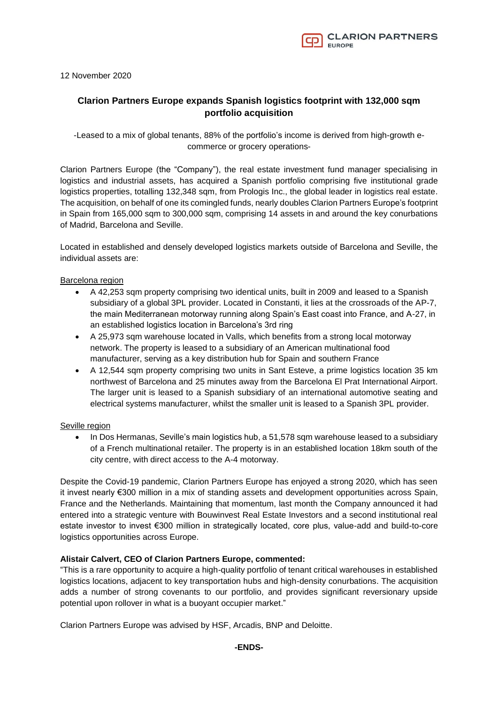

12 November 2020

# **Clarion Partners Europe expands Spanish logistics footprint with 132,000 sqm portfolio acquisition**

-Leased to a mix of global tenants, 88% of the portfolio's income is derived from high-growth ecommerce or grocery operations-

Clarion Partners Europe (the "Company"), the real estate investment fund manager specialising in logistics and industrial assets, has acquired a Spanish portfolio comprising five institutional grade logistics properties, totalling 132,348 sqm, from Prologis Inc., the global leader in logistics real estate. The acquisition, on behalf of one its comingled funds, nearly doubles Clarion Partners Europe's footprint in Spain from 165,000 sqm to 300,000 sqm, comprising 14 assets in and around the key conurbations of Madrid, Barcelona and Seville.

Located in established and densely developed logistics markets outside of Barcelona and Seville, the individual assets are:

## Barcelona region

- A 42,253 sqm property comprising two identical units, built in 2009 and leased to a Spanish subsidiary of a global 3PL provider. Located in Constanti, it lies at the crossroads of the AP-7, the main Mediterranean motorway running along Spain's East coast into France, and A-27, in an established logistics location in Barcelona's 3rd ring
- A 25,973 sqm warehouse located in Valls, which benefits from a strong local motorway network. The property is leased to a subsidiary of an American multinational food manufacturer, serving as a key distribution hub for Spain and southern France
- A 12,544 sqm property comprising two units in Sant Esteve, a prime logistics location 35 km northwest of Barcelona and 25 minutes away from the Barcelona El Prat International Airport. The larger unit is leased to a Spanish subsidiary of an international automotive seating and electrical systems manufacturer, whilst the smaller unit is leased to a Spanish 3PL provider.

## Seville region

• In Dos Hermanas, Seville's main logistics hub, a 51,578 sqm warehouse leased to a subsidiary of a French multinational retailer. The property is in an established location 18km south of the city centre, with direct access to the A-4 motorway.

Despite the Covid-19 pandemic, Clarion Partners Europe has enjoyed a strong 2020, which has seen it invest nearly €300 million in a mix of standing assets and development opportunities across Spain, France and the Netherlands. Maintaining that momentum, last month the Company announced it had entered into a strategic venture with Bouwinvest Real Estate Investors and a second institutional real estate investor to invest €300 million in strategically located, core plus, value-add and build-to-core logistics opportunities across Europe.

## **Alistair Calvert, CEO of Clarion Partners Europe, commented:**

"This is a rare opportunity to acquire a high-quality portfolio of tenant critical warehouses in established logistics locations, adjacent to key transportation hubs and high-density conurbations. The acquisition adds a number of strong covenants to our portfolio, and provides significant reversionary upside potential upon rollover in what is a buoyant occupier market."

Clarion Partners Europe was advised by HSF, Arcadis, BNP and Deloitte.